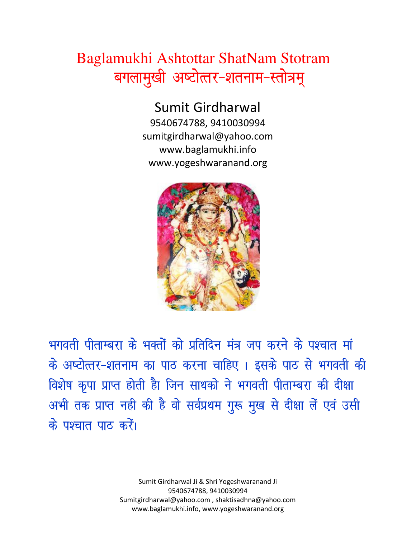## Baglamukhi Ashtottar ShatNam Stotram बगलामुखी अष्टोत्तर-शतनाम-स्तोत्रम्

Sumit Girdharwal 9540674788, 9410030994

sumitgirdharwal@yahoo.com www.baglamukhi.info www.yogeshwaranand.org



भगवती पीताम्बरा के भक्तों को प्रतिदिन मंत्र जप करने के पश्चात मां के अष्टोत्तर-शतनाम का पाठ करना चाहिए। इसके पाठ से भगवती की विशेष कृपा प्राप्त होती हैा जिन साधको ने भगवती पीताम्बरा की दीक्षा अभी तक प्राप्त नही की है वो सर्वप्रथम गुरू मुख से दीक्षा लें एवं उसी के पश्चात पाठ करें।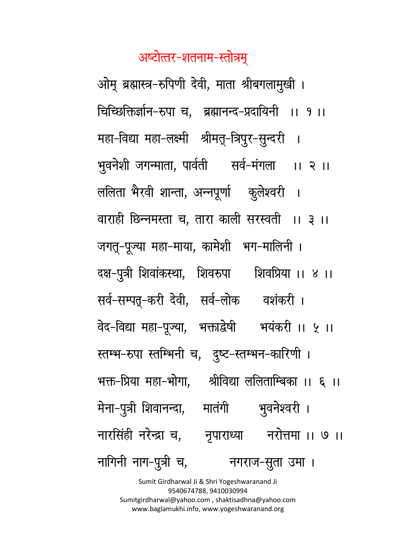अष्टोत्तर-शतनाम-स्तोत्रम्

ओम् ब्रह्मास्त्र-रुपिणी देवी, माता श्रीबगलामुखी । चिच्छिक्तिर्ज्ञान-रुपा च, ब्रह्मानन्द-प्रदायिनी ।। १।। महा-विद्या महा-लक्ष्मी श्रीमतू-त्रिपुर-सुन्दरी । भूवनेशी जगन्माता, पार्वती सर्व-मंगला ।। २ ।। ललिता भैरवी शान्ता, अन्नपूर्णा कुलेश्वरी । वाराही छिन्नमस्ता च, तारा काली सरस्वती ।। ३ ।। जगतू-पूज्या महा-माया, कामेशी भग-मालिनी । दक्ष-पुत्री शिवांकस्था, शिवरुपा शिवप्रिया ।। ४ ।। सर्व-सम्पत्-करी देवी, सर्व-लोक वशंकरी। वेद-विद्या महा-पूज्या, भक्ताद्वेषी भयंकरी ।। ५ ।। स्तम्भ-रुपा स्तम्भिनी च, दुष्ट-स्तम्भन-कारिणी । भक्त-प्रिया महा-भोगा, श्रीविद्या ललिताम्बिका ।। ६ ।। मेना-पुत्री शिवानन्दा, मातंगी भुवनेश्वरी । नारसिंही नरेन्द्रा च, नृपाराध्या नरोत्तमा ।। ७ ।। नागिनी नाग-पुत्री च, नगराज-सूता उमा ।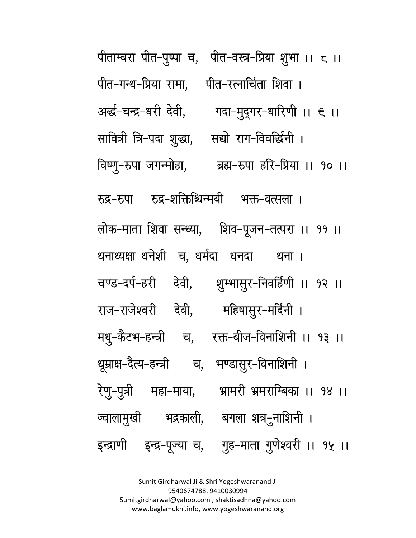पीताम्बरा पीत-पूष्पा च, पीत-वस्त्र-प्रिया शूभा ।। ८ ।। पीत-गन्ध-प्रिया रामा, पीत-रत्नार्चिता शिवा। अर्छ-चन्द्र-धरी देवी, गदा-मुदुगर-धारिणी ।। ६ ।। सावित्री त्रि-पदा शूद्धा, सद्यो राग-विवर्द्धिनी । विष्णु-रुपा जगन्मोहा, ब्रह्म-रुपा हरि-प्रिया ।। १० ।। रुद्र-रुपा रुद्र-शक्तिश्चिन्मयी भक्त-वत्सला । लोक-माता शिवा सन्ध्या, शिव-पूजन-तत्परा ।। ११ ।। धनाध्यक्षा धनेशी च, धर्मदा धनदा धना । चण्ड-दर्प-हरी देवी, शुम्भास़ूर-निवर्हिणी ।। १२ ।। राज-राजेश्वरी देवी, महिषासुर-मर्दिनी । मधु-कैटभ-हन्त्री च, रक्त-बीज-विनाशिनी ।। १३ ।। धूम्राक्ष-दैत्य-हन्त्री च, भण्डासुर-विनाशिनी । रेणु-पुत्री महा-माया, भ्रामरीभ्रमराम्बिका ।। १४ ।। ज्वालामुखी भद्रकाली, बगला*शत्र*-नाशिनी । इन्द्राणी इन्द्र-पूज्या च, गुह-माता गुणेश्वरी ।। १५ ।।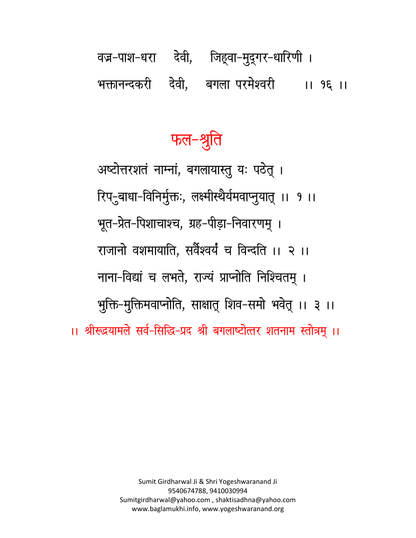# वज्र-पाश-धरा देवी, जिह्वा-मुद्गर-धारिणी। भक्तानन्दकरी देवी, बगला-परमेश्वरी ।। १६ ।।

# फल-श्रुति

अष्टोत्तरशतं नाम्नां, बगलायास्तु यः पठेत् । रिप्-बाधा-विनिर्मुक्तः, लक्ष्मीस्थैर्यमवाप्नुयात् ।। १ ।। भूत-प्रेत-पिशाचाश्च, ग्रह-पीड़ा-निवारणम् । राजानो वशमायाति. सर्वेश्वर्यं च विन्दति ।। २ ।। नाना-विद्यां च लभते, राज्यं प्राप्नोति निश्चितम् । भूक्ति-मुक्तिमवाप्नोति, साक्षातू शिव-समो भवेतू ।। ३ ।। ।। श्रीरूद्रयामले सर्व-सिद्धि-प्रद श्री बगलाष्टोत्तर शतनाम स्तोत्रम् ।।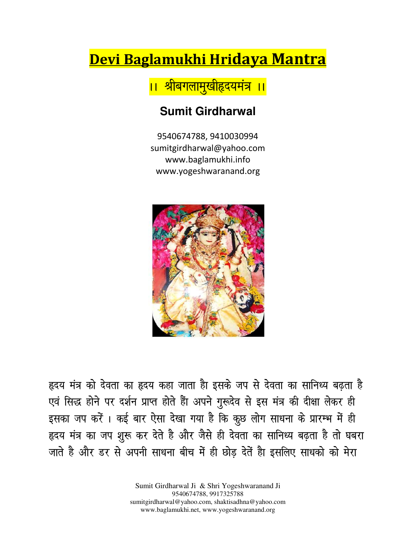## Devi Baglamukhi Hridaya Mantra

<mark>।। श्रीबगलामुखीहदयमंत्र ।।</mark>

### **Sumit Girdharwal**

9540674788, 9410030994 sumitgirdharwal@yahoo.com www.baglamukhi.info www.yogeshwaranand.org



हृदय मंत्र को देवता का हृदय कहा जाता हैा इसके जप से देवता का सानिध्य बढ़ता है एवं सिद्ध होने पर दर्शन प्राप्त होते हैंा अपने गुरूदेव से इस मंत्र की दीक्षा लेकर ही इसका जप करें। कई बार ऐसा देखा गया है कि कुछ लोग साधना के प्रारम्भ में ही हृदय मंत्र का जप श़ूरू कर देते है और जैसे ही देवता का सानिध्य बढ़ता है तो घबरा जाते है और डर से अपनी साधना बीच में ही छोड़ देतें हैा इसलिए साधको को मेरा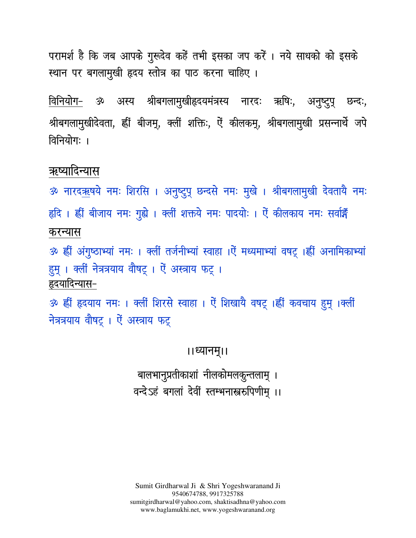परामर्श है कि जब आपके गुरूदेव कहें तभी इसका जप करें । नये साधको को इसके स्थान पर बगलामुखी हृदय स्तोत्र का पाठ करना चाहिए ।

अस्य श्रीबगलामुखीहृदयमंत्रस्य नारदः ऋषिः, अनुष्टुपू छन्दः, विनियोग– ૐ श्रीबगलामुखीदेवता, ह्रीं बीजमू, क्लीं शक्तिः, ऐं कीलकमू, श्रीबगलामुखी प्रसन्नार्थे जपे विनियोग: ।

#### ऋष्यादिन्यास

ॐ नारद<u>ऋ</u>षये नमः शिरसि । अनुष्टुपू छन्दसे नमः मुखे । श्रीबगलामुखी देवतायै नमः हृदि । ह्रीं बीजाय नमः गुह्ये । क्लीं शक्तये नमः पादयोः । ऐं कीलकाय नमः सर्वार्झें करन्यास

ॐ ह्वीं अंगुष्ठाभ्यां नमः । क्लीं तर्जनीभ्यां स्वाहा ।ऐं मध्यमाभ्यां वषट् ।ह्वीं अनामिकाभ्यां हुम् । क्लीं नेत्रत्रयाय वौषट् । ऐं अस्त्राय फट् । हृदयादिन्यास–

30 ह्यीं हृदयाय नमः । क्लीं शिरसे स्वाहा । ऐं शिखायै वषट् ।ह्यीं कवचाय हुम् ।क्लीं नेत्रत्रयाय वौषट् । ऐं अस्त्राय फट्

#### ।।ध्यानम्।।

बालभानुप्रतीकाशां नीलकोमलकुन्तलाम् । वन्देऽहं बगलां देवीं स्तम्भनास्त्ररुपिणीम् ।।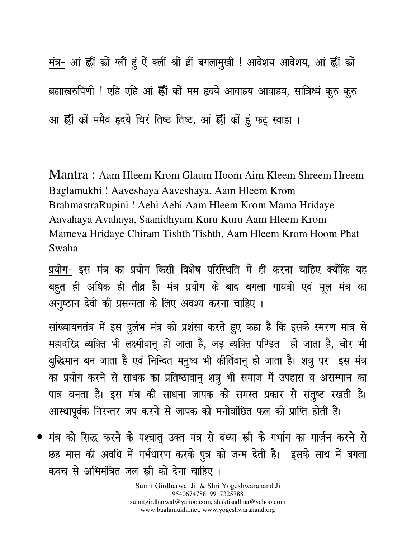मंत्र- आं हीं कों ग्लों हूं ऐं क्लीं श्रीं हीं बगलामुखी ! आवेशय आवेशय, आं हीं कों ब्रह्मास्त्ररुपिणी ! एहि एहि आं ह्रीं कों मम हृदये आवाहय आवाहय, सात्रिध्यं कुरु कुरु आं हीं कों ममैव हृदये चिरं तिष्ठ तिष्ठ, आं हीं कों हूं फट् स्वाहा ।

Mantra : Aam Hleem Krom Glaum Hoom Aim Kleem Shreem Hreem Baglamukhi ! Aaveshaya Aaveshaya, Aam Hleem Krom BrahmastraRupini ! Aehi Aehi Aam Hleem Krom Mama Hridaye Aavahaya Avahaya, Saanidhyam Kuru Kuru Aam Hleem Krom Mameva Hridaye Chiram Tishth Tishth, Aam Hleem Krom Hoom Phat Swaha

प्रयोग- इस मंत्र का प्रयोग किसी विशेष परिस्थिति में ही करना चाहिए क्योंकि यह बहुत ही अधिक ही तीव्र हैा मंत्र प्रयोग के बाद बगला गायत्री एवं मूल मंत्र का अनुष्ठान देवी की प्रसन्नता के लिए अवश्य करना चाहिए ।

सांख्यायनतंत्र में इस दुर्लभ मंत्र की प्रशंसा करते हुए कहा है कि इसके स्मरण मात्र से महादरिद्र व्यक्ति भी लक्ष्मीवानू हो जाता है, जड़ व्यक्ति पण्डित हो जाता है, चोर भी बुद्धिमान बन जाता है एवं निन्दित मनुष्य भी कीर्तिवानू हो जाता है। शत्रु पर इस मंत्र का प्रयोग करने से साधक का प्रतिष्ठावानू शत्रु भी समाज में उपहास व असम्मान का पात्र बनता है। इस मंत्र की साधना जापक को समस्त प्रकार से संतुष्ट रखती है। आस्थापूर्वक निरन्तर जप करने से जापक को मनोवांछित फल की प्राप्ति होती है।

• मंत्र को सिद्ध करने के पश्चातू उक्त मंत्र से बंध्या स्त्री के गर्भांग का मार्जन करने से छह मास की अवधि में गर्भधारण करके पुत्र को जन्म देती है। इसके साथ में बगला कवच से अभिमंत्रित जल स्त्री को देना चाहिए ।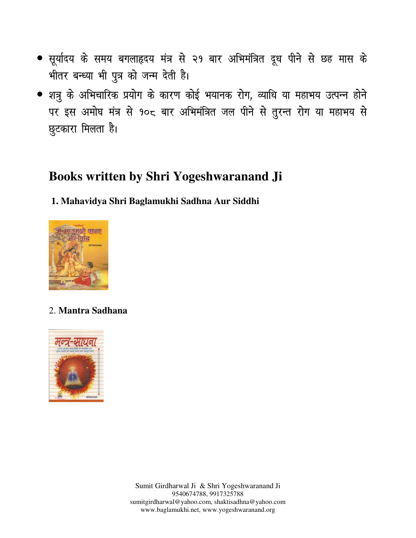- सूर्यादय के समय बगलाहृदय मंत्र से २१ बार अभिमंत्रित दूध पीने से छह मास के भीतर बन्ध्या भी पुत्र को जन्म देती है।
- शत्रू के अभिचारिक प्रयोग के कारण कोई भयानक रोग, व्याधि या महाभय उत्पन्न होने पर इस अमोघ मंत्र से १०८ बार अभिमंत्रित जल पीने से तुरन्त रोग या महाभय से छुटकारा मिलता है।

## **Books written by Shri Yogeshwaranand Ji**

#### **1. Mahavidya Shri Baglamukhi Sadhna Aur Siddhi**



#### 2. **Mantra Sadhana**

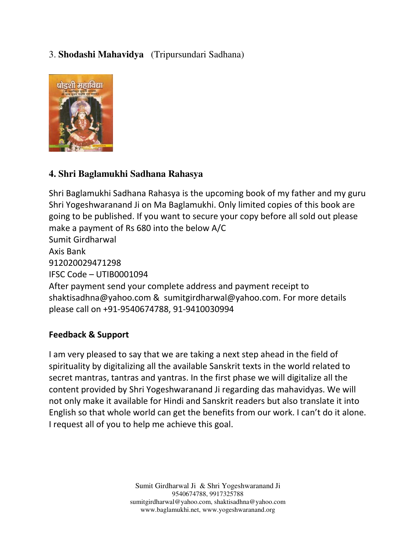#### 3. **Shodashi Mahavidya** (Tripursundari Sadhana)



#### **4. Shri Baglamukhi Sadhana Rahasya**

Shri Baglamukhi Sadhana Rahasya is the upcoming book of my father and my guru Shri Yogeshwaranand Ji on Ma Baglamukhi. Only limited copies of this book are going to be published. If you want to secure your copy before all sold out please make a payment of Rs 680 into the below A/C Sumit Girdharwal Axis Bank 912020029471298 IFSC Code – UTIB0001094 After payment send your complete address and payment receipt to shaktisadhna@yahoo.com & sumitgirdharwal@yahoo.com. For more details please call on +91-9540674788, 91-9410030994

#### Feedback & Support

I am very pleased to say that we are taking a next step ahead in the field of spirituality by digitalizing all the available Sanskrit texts in the world related to secret mantras, tantras and yantras. In the first phase we will digitalize all the content provided by Shri Yogeshwaranand Ji regarding das mahavidyas. We will not only make it available for Hindi and Sanskrit readers but also translate it into English so that whole world can get the benefits from our work. I can't do it alone. I request all of you to help me achieve this goal.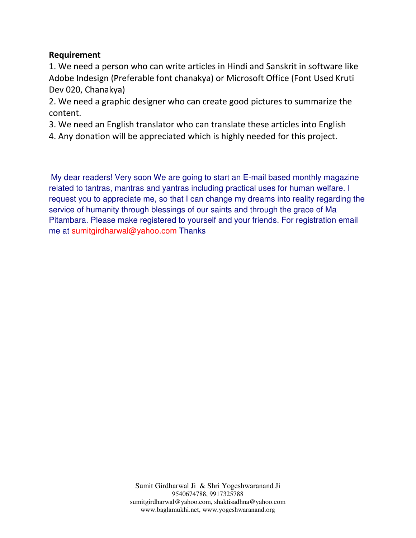#### Requirement

1. We need a person who can write articles in Hindi and Sanskrit in software like Adobe Indesign (Preferable font chanakya) or Microsoft Office (Font Used Kruti Dev 020, Chanakya)

2. We need a graphic designer who can create good pictures to summarize the content.

3. We need an English translator who can translate these articles into English

4. Any donation will be appreciated which is highly needed for this project.

My dear readers! Very soon We are going to start an E-mail based monthly magazine related to tantras, mantras and yantras including practical uses for human welfare. I request you to appreciate me, so that I can change my dreams into reality regarding the service of humanity through blessings of our saints and through the grace of Ma Pitambara. Please make registered to yourself and your friends. For registration email me at sumitgirdharwal@yahoo.com Thanks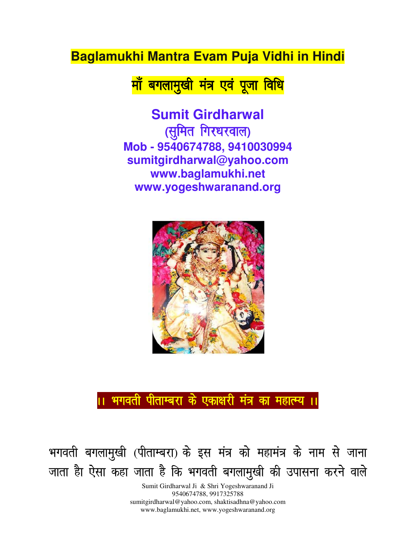## **Baglamukhi Mantra Evam Puja Vidhi in Hindi**

<u>माँ बगलामुखी मंत्र एवं पूजा विधि</u>

**Sumit Girdharwal**  *(सु*मित गिरधरवाल) **Mob - 9540674788, 9410030994 sumitgirdharwal@yahoo.com www.baglamukhi.net www.yogeshwaranand.org** 



।। भगवती पीताम्बरा के एकाक्षरी मंत्र का महात्म्य ।।

भगवती बगलामुखी (पीताम्बरा) के इस मंत्र को महामंत्र के नाम से जाना जाता हैा ऐसा कहा जाता है कि भगवती बगलामुखी की उपासना करने वाले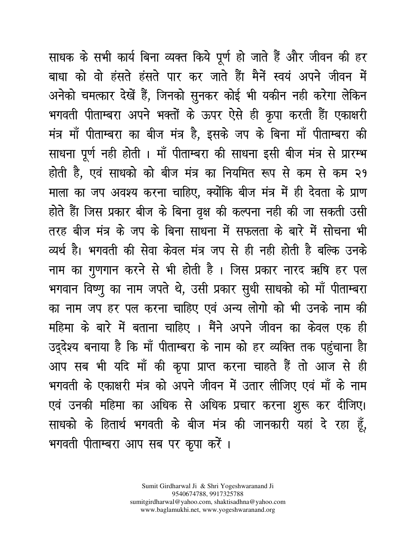साधक के सभी कार्य बिना व्यक्त किये पूर्ण हो जाते हैं और जीवन की हर बाधा को वो हंसते हंसते पार कर जाते हैंा मैनें स्वयं अपने जीवन में अनेको चमत्कार देखें हैं, जिनको सुनकर कोई भी यकीन नही करेगा लेकिन भगवती पीताम्बरा अपने भक्तों के ऊपर ऐसे ही कृपा करती हैंा एकाक्षरी मंत्र माँ पीताम्बरा का बीज मंत्र है, इसके जप के बिना माँ पीताम्बरा की साधना पूर्ण नही होती । माँ पीताम्बरा की साधना इसी बीज मंत्र से प्रारम्भ होती है, एवं साधको को बीज मंत्र का नियमित रूप से कम से कम २१ माला का जप अवश्य करना चाहिए, क्योंकि बीज मंत्र में ही देवता के प्राण होते हैंा जिस प्रकार बीज के बिना वृक्ष की कल्पना नही की जा सकती उसी तरह बीज मंत्र के जप के बिना साधना में सफलता के बारे में सोचना भी व्यर्थ है। भगवती की सेवा केवल मंत्र जप से ही नही होती है बल्कि उनके नाम का गुणगान करने से भी होती है । जिस प्रकार नारद ऋषि हर पल भगवान विष्णू का नाम जपते थे, उसी प्रकार सुधी साधको को माँ पीताम्बरा का नाम जप हर पल करना चाहिए एवं अन्य लोगो को भी उनके नाम की महिमा के बारे में बताना चाहिए । मैंने अपने जीवन का केवल एक ही उद्देश्य बनाया है कि माँ पीताम्बरा के नाम को हर व्यक्ति तक पहुंचाना हैा आप सब भी यदि माँ की कृपा प्राप्त करना चाहते हैं तो आज से ही भगवती के एकाक्षरी मंत्र को अपने जीवन में उतार लीजिए एवं माँ के नाम एवं उनकी महिमा का अधिक से अधिक प्रचार करना शुरू कर दीजिए। साधको के हितार्थ भगवती के बीज मंत्र की जानकारी यहां दे रहा हूँ, भगवती पीताम्बरा आप सब पर कृपा करें ।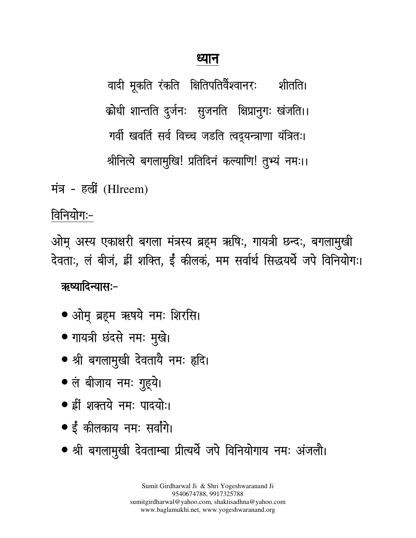## ध्यान

वादी मूकति रंकति क्षितिपतिर्वेश्वानरः शीर्ताते। क्रोधी शान्तति दुर्जनः सुजनति क्षिप्रानुगः खंजति।। गर्वी खवर्ति सर्व विच्च जडति त्वदूयन्त्राणा यंत्रितः। श्रीनित्ये बगलामुखि! प्रतिदिनं कल्याणि! तुभ्यं नमः।।

मंत्र - हल्री (Hlreem)

विनियोगः-

ओम् अस्य एकाक्षरी बगला मंत्रस्य ब्रहूम ऋषिः, गायत्री छन्दः, बगलामुखी देवताः, लं बीजं, ड्वीं शक्ति, ईं कीलकं, मम सर्वार्थ सिद्धयर्थे जपे विनियोगः।

### ऋष्यादिन्यास:-

- ओमू ब्रहूम ऋषये नमः शिरसि।
- गायत्री छंदसे नमः मुखे।
- श्री बगलामुखी देवतायै नमः हृदि।
- लं बीजाय नमः गुहूये।
- ह्रीं शक्तये नम: पादयो:।
- ईं कीलकाय नमः सर्वांगे।
- श्री बगलामुखी देवताम्बा प्रीत्यर्थे जपे विनियोगाय नमः अंजलौ।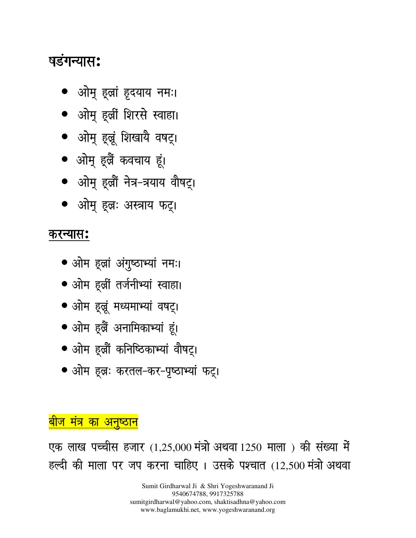Sumit Girdharwal Ji & Shri Yogeshwaranand Ji 9540674788, 9917325788 sumitgirdharwal@yahoo.com, shaktisadhna@yahoo.com www.baglamukhi.net, www.yogeshwaranand.org

एक लाख पच्चीस हजार (1,25,000 मंत्रो अथवा 1250 माला) की संख्या में हल्दी की माला पर जप करना चाहिए । उसके पश्चात (12,500 मंत्रो अथवा

<mark>बीज मंत्र का अनुष्ठान</mark>

- 
- ओम हूलः करतल-कर-पृष्ठाभ्यां फट्।
- ओम हूल्रौं कनिष्ठिकाभ्यां वौषट्।
- ओम हूब्रैं अनामिकाभ्यां हूं।
- ओम हुल्लं मध्यमाभ्यां वषट्।
- ओम हूर्ल्री तर्जनीभ्यां स्वाहा।
- ओम हूलां अंगुष्ठाभ्यां नमः।

## करन्यास**:**

- ओम् हूल्रः अस्त्राय फट्।
- ओमू हूल्रौं नेत्र-त्रयाय वौषट्।
- ओमू हूलैं कवचाय हूं।
- ओम् हूल्रं शिखायै वषट्।
- ओम् इर्ल्री शिरसे स्वाहा।
- ओमू हूल्रां हृदयाय नमः।

## <u>षडंगन्यास:</u>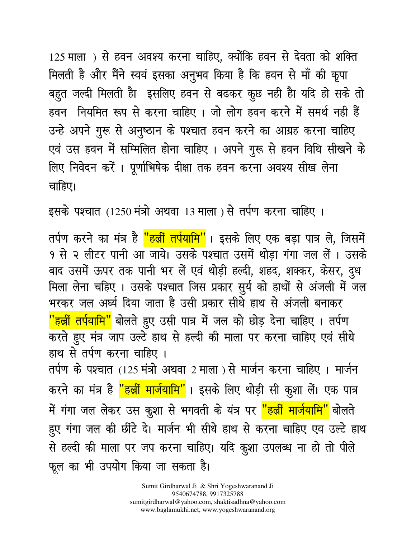125 माला) से हवन अवश्य करना चाहिए, क्योंकि हवन से देवता को शक्ति मिलती है और मैंने स्वयं इसका अनुभव किया है कि हवन से माँ की कृपा बहुत जल्दी मिलती हैा इसलिए हवन से बढकर कूछ नही हैा यदि हो सके तो हवन नियमित रूप से करना चाहिए । जो लोग हवन करने में समर्थ नही हैं उन्हे अपने गुरू से अनुष्ठान के पश्चात हवन करने का आग्रह करना चाहिए एवं उस हवन में सम्मिलित होना चाहिए। अपने गुरू से हवन विधि सीखने के लिए निवेदन करेंं। प्रूर्णाभिषेक दीक्षा तक हवन करना अवश्य सीख लेना चाहिए।

इसके पश्चात (1250 मंत्रो अथवा 13 माला) से तर्पण करना चाहिए ।

तर्पण करने का मंत्र है <mark>"हल्लीं तर्पयामि"</mark>। इसके लिए एक बड़ा पात्र ले, जिसमें १ से २ लीटर पानी आ जाये। उसके पश्चात उसमें थोड़ा गंगा जल लें । उसके बाद उसमें ऊपर तक पानी भर लें एवं थोड़ी हल्दी, शहद, शक्कर, केसर, दुध मिला लेना चहिए। उसके पश्चात जिस प्रकार सुर्य को हाथों से अंजली में जल भरकर जल अर्घ्य दिया जाता है उसी प्रकार सीधे हाथ से अंजली बनाकर <mark>"हर्ल्री तर्पयामि"</mark> बोलते हुए उसी पात्र में जल को छोड़ देना चाहिए । तर्पण करते हुए मंत्र जाप उल्टे हाथ से हल्दी की माला पर करना चाहिए एवं सीधे हाथ से तर्पण करना चाहिए । तर्पण के पश्चात (125 मंत्रो अथवा 2 माला) से मार्जन करना चाहिए । मार्जन करने का मंत्र है <mark>"हल्लीं मार्जयामि"</mark>। इसके लिए थोड़ी सी कुशा लें। एक पात्र में गंगा जल लेकर उस कुशा से भगवती के यंत्र पर <mark>''हर्ब्री मार्जयामि''</mark> बोलते हुए गंगा जल की छींटे दे। मार्जन भी सीधे हाथ से करना चाहिए एव उल्टे हाथ से हल्दी की माला पर जप करना चाहिए। यदि कुशा उपलब्ध ना हो तो पीले फूल का भी उपयोग किया जा सकता है।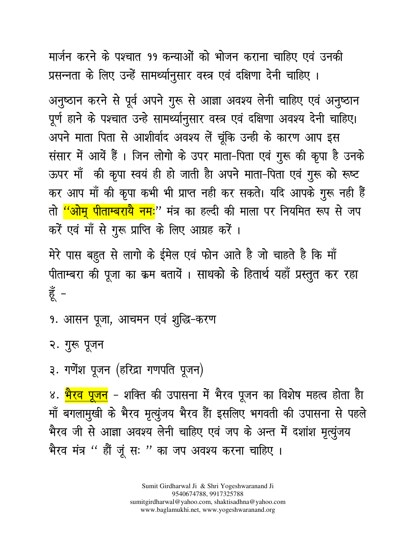मार्जन करने के पश्चात ११ कन्याओं को भोजन कराना चाहिए एवं उनकी प्रसन्नता के लिए उन्हें सामर्थ्यानुसार वस्त्र एवं दक्षिणा देनी चाहिए ।

अनुष्ठान करने से पूर्व अपने गुरू से आज्ञा अवश्य लेनी चाहिए एवं अनुष्ठान पूर्ण हाने के पश्चात उन्हे सामर्थ्यानुसार वस्त्र एवं दक्षिणा अवश्य देनी चाहिए। अपने माता पिता से आशीर्वाद अवश्य लें चूंकि उन्ही के कारण आप इस संसार में आयें हैं। जिन लोगो के उपर माता-पिता एवं गुरू की कृपा है उनके ऊपर माँ की कृपा स्वयं ही हो जाती हैा अपने माता-पिता एवं गुरू को रूष्ट कर आप माँ की कृपा कभी भी प्राप्त नही कर सकते। यदि आपके गुरू नही हैं तो <mark>''ओमू पीताम्बरायै नमः</mark>'' मंत्र का हल्दी की माला पर नियमित रूप से जप करें एवं माँ से गुरू प्राप्ति के लिए आग्रह करें ।

मेरे पास बहुत से लागो के ईमेल एवं फोन आते है जो चाहते है कि माँ पीताम्बरा की पूजा का क्रम बतायें । साधको के हितार्थ यहाँ प्रस्तुत कर रहा हूँ –

9. आसन पूजा, आचमन एवं शुद्धि-करण

२. गुरू पूजन

३. गणेंश पूजन (हरिद्रा गणपति पूजन)

४. <mark>भैरव पूजन</mark> – शक्ति की उपासना में भैरव पूजन का विशेष महत्व होता हैा माँ बगलामुखी के भैरव मृत्युंजय भैरव हैंा इसलिए भगवती की उपासना से पहले भैरव जी से आज्ञा अवश्य लेनी चाहिए एवं जप के अन्त में दशांश मृत्युंजय भैरव मंत्र " हौं जूं सः " का जप अवश्य करना चाहिए ।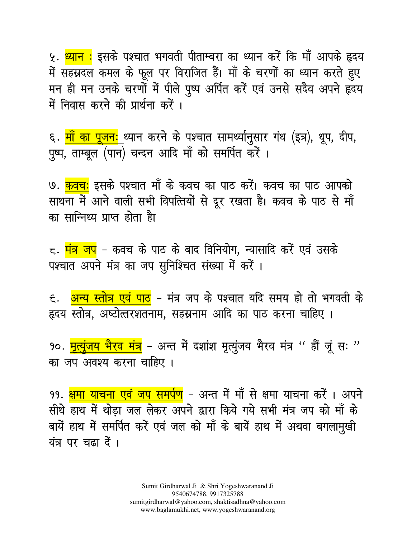५. <mark>ध्यान :</mark> इसके पश्चात भगवती पीताम्बरा का ध्यान करें कि माँ आपके हृदय में सहस्रदल कमल के फूल पर विराजित हैं। माँ के चरणों का ध्यान करते हुए मन ही मन उनके चरणों में पीले पुष्प अर्पित करें एवं उनसे सदैव अपने हृदय में निवास करने की प्रार्थना करें ।

६. <mark>माँ का पूजनः</mark> ध्यान करने के पश्चात सामर्थ्यानुसार गंध (इत्र), धूप, दीप, पुष्प, ताम्बूल (पान) चन्दन आदि माँ को समर्पित करें ।

७. <mark>कवचः</mark> इसके पश्चात माँ के कवच का पाठ करें। कवच का पाठ आपको साधना में आने वाली सभी विपत्तियों से दूर रखता है। कवच के पाठ से माँ का सान्निध्य प्राप्त होता हैा

८. <mark>मंत्र जप</mark> – कवच के पाठ के बाद विनियोग, न्यासादि करें एवं उसके पश्चात अपने मंत्र का जप सुनिश्चित संख्या में करें ।

६. <mark>अन्य स्तोत्र एवं पाठ</mark> – मंत्र जप के पश्चात यदि समय हो तो भगवती के हृदय स्तोत्र, अष्टोत्तरशतनाम, सहस्रनाम आदि का पाठ करना चाहिए ।

१०. <mark>मृत्यूंजय भैरव मंत्र</mark> - अन्त में दशांश मृत्यूंजय भैरव मंत्र '' हौं जूं सः '' का जप अवश्य करना चाहिए ।

99. <mark>क्षमा याचना एवं जप समर्पण</mark> – अन्त में माँ से क्षमा याचना करेंं । अपने सीधे हाथ में थोड़ा जल लेकर अपने द्वारा किये गये सभी मंत्र जप को माँ के बायें हाथ में समर्पित करें एवं जल को माँ के बायें हाथ में अथवा बगलामुखी यंत्र पर चढ़ा दें ।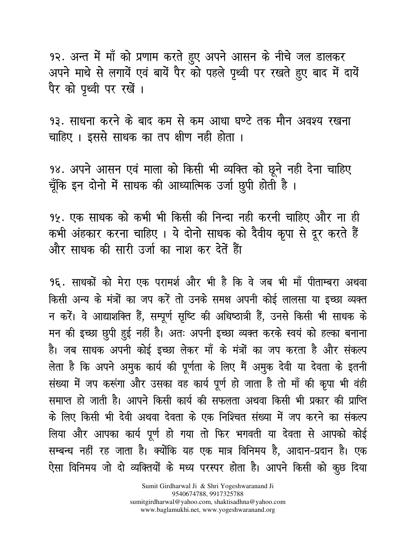१२. अन्त में माँ को प्रणाम करते हुए अपने आसन के नीचे जल डालकर अपने माथे से लगायें एवं बायें पैर को पहले पृथ्वी पर रखते हुए बाद में दायें पैर को पृथ्वी पर रखें।

9३. साधना करने के बाद कम से कम आधा घण्टे तक मौन अवश्य रखना चाहिए । इससे साधक का तप क्षीण नही होता ।

98. अपने आसन एवं माला को किसी भी व्यक्ति को छूने नही देना चाहिए चूँकि इन दोनो में साधक की आध्यात्मिक उर्जा छुपी होती है।

१५. एक साधक को कभी भी किसी की निन्दा नही करनी चाहिए और ना ही कभी अंहकार करना चाहिए। ये दोनो साधक को दैवीय कृपा से दूर करते हैं और साधक की सारी उर्जा का नाश कर देतें हैंा

9६. साधकों को मेरा एक परामर्श और भी है कि वे जब भी माँ पीताम्बरा अथवा किसी अन्य के मंत्रों का जप करें तो उनके समक्ष अपनी कोई लालसा या इच्छा व्यक्त न करें। वे आद्याशक्ति हैं, सम्पूर्ण सृष्टि की अधिष्ठात्री हैं, उनसे किसी भी साधक के मन की इच्छा छूपी हुई नहीं है। अतः अपनी इच्छा व्यक्त करके स्वयं को हल्का बनाना है। जब साधक अपनी कोई इच्छा लेकर माँ के मंत्रों का जप करता है और संकल्प लेता है कि अपने अमुक कार्य की पूर्णता के लिए मैं अमुक देवी या देवता के इतनी संख्या में जप करूंगा और उसका वह कार्य पूर्ण हो जाता है तो माँ की कृपा भी वंही समाप्त हो जाती है। आपने किसी कार्य की सफलता अथवा किसी भी प्रकार की प्राप्ति के लिए किसी भी देवी अथवा देवता के एक निश्चित संख्या में जप करने का संकल्प लिया और आपका कार्य पूर्ण हो गया तो फिर भगवती या देवता से आपको कोई सम्बन्ध नहीं रह जाता है। क्योंकि यह एक मात्र विनिमय है, आदान-प्रदान है। एक ऐसा विनिमय जो दो व्यक्तियों के मध्य परस्पर होता है। आपने किसी को कुछ दिया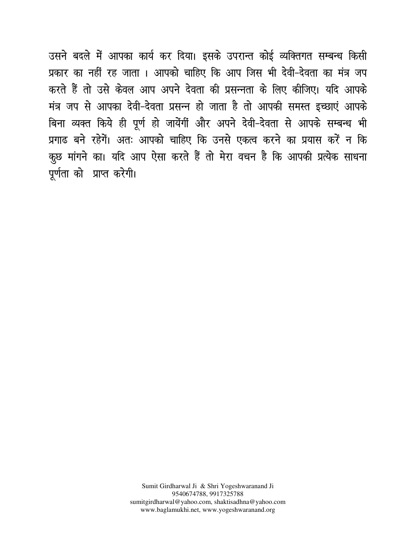उसने बदले में आपका कार्य कर दिया। इसके उपरान्त कोई व्यक्तिगत सम्बन्ध किसी प्रकार का नहीं रह जाता । आपको चाहिए कि आप जिस भी देवी-देवता का मंत्र जप करते हैं तो उसे केवल आप अपने देवता की प्रसन्नता के लिए कीजिए। यदि आपके मंत्र जप से आपका देवी-देवता प्रसन्न हो जाता है तो आपकी समस्त इच्छाएं आपके बिना व्यक्त किये ही पूर्ण हो जायेंगीं और अपने देवी-देवता से आपके सम्बन्ध भी प्रगाढ बने रहेगें। अतः आपको चाहिए कि उनसे एकत्व करने का प्रयास करें न कि कृछ मांगने का। यदि आप ऐसा करते हैं तो मेरा वचन है कि आपकी प्रत्येक साधना पूर्णता को प्राप्त करेगी।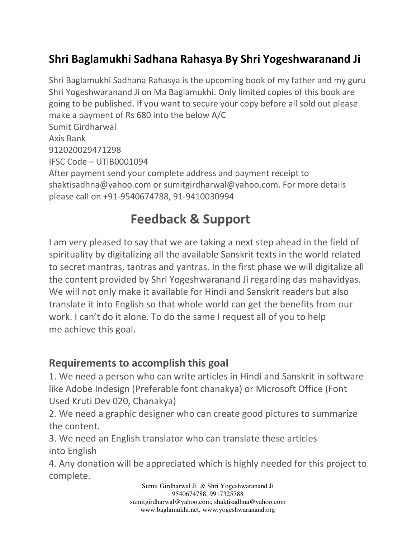## Shri Baglamukhi Sadhana Rahasya By Shri Yogeshwaranand Ji

Shri Baglamukhi Sadhana Rahasya is the upcoming book of my father and my guru Shri Yogeshwaranand Ji on Ma Baglamukhi. Only limited copies of this book are going to be published. If you want to secure your copy before all sold out please make a payment of Rs 680 into the below A/C Sumit Girdharwal Axis Bank 912020029471298 IFSC Code – UTIB0001094 After payment send your complete address and payment receipt to shaktisadhna@yahoo.com or sumitgirdharwal@yahoo.com. For more details please call on +91-9540674788, 91-9410030994

## Feedback & Support

I am very pleased to say that we are taking a next step ahead in the field of spirituality by digitalizing all the available Sanskrit texts in the world related to secret mantras, tantras and yantras. In the first phase we will digitalize all the content provided by Shri Yogeshwaranand Ji regarding das mahavidyas. We will not only make it available for Hindi and Sanskrit readers but also translate it into English so that whole world can get the benefits from our work. I can't do it alone. To do the same I request all of you to help me achieve this goal.

#### Requirements to accomplish this goal

1. We need a person who can write articles in Hindi and Sanskrit in software like Adobe Indesign (Preferable font chanakya) or Microsoft Office (Font Used Kruti Dev 020, Chanakya)

2. We need a graphic designer who can create good pictures to summarize the content.

3. We need an English translator who can translate these articles into English

4. Any donation will be appreciated which is highly needed for this project to complete.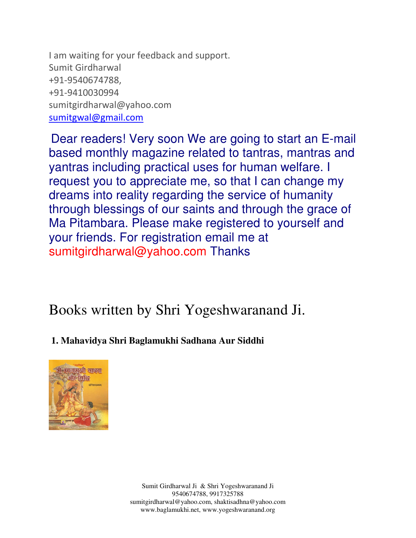I am waiting for your feedback and support. Sumit Girdharwal +91-9540674788, +91-9410030994 sumitgirdharwal@yahoo.com sumitgwal@gmail.com

Dear readers! Very soon We are going to start an E-mail based monthly magazine related to tantras, mantras and yantras including practical uses for human welfare. I request you to appreciate me, so that I can change my dreams into reality regarding the service of humanity through blessings of our saints and through the grace of Ma Pitambara. Please make registered to yourself and your friends. For registration email me at sumitgirdharwal@yahoo.com Thanks

Books written by Shri Yogeshwaranand Ji.

#### **1. Mahavidya Shri Baglamukhi Sadhana Aur Siddhi**